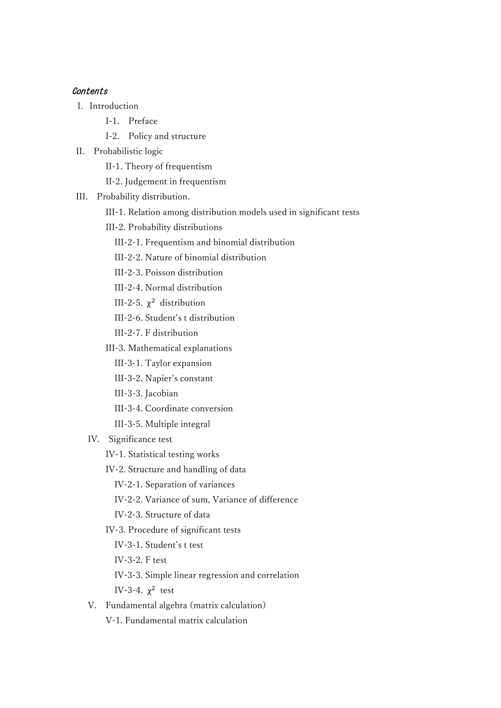## **Contents**

- I. Introduction
	- I-1. Preface
	- I-2. Policy and structure
- II. Probabilistic logic
	- II-1. Theory of frequentism
	- II-2. Judgement in frequentism
- III. Probability distribution.
	- III-1. Relation among distribution models used in significant tests
	- III-2. Probability distributions
		- III-2-1. Frequentism and binomial distribution
		- III-2-2. Nature of binomial distribution
		- III-2-3. Poisson distribution
		- III-2-4. Normal distribution
	- III-2-5.  $\chi^2$  distribution
		- III-2-6. Student's t distribution
		- III-2-7. F distribution
		- III-3. Mathematical explanations
			- III-3-1. Taylor expansion
			- III-3-2. Napier's constant
			- III-3-3. Jacobian
			- III-3-4. Coordinate conversion
			- III-3-5. Multiple integral
	- IV. Significance test
		- IV-1. Statistical testing works
		- IV-2. Structure and handling of data
			- IV-2-1. Separation of variances
			- IV-2-2. Variance of sum, Variance of difference
			- IV-2-3. Structure of data
		- IV-3. Procedure of significant tests
			- IV-3-1. Student's t test
			- IV-3-2. F test
			- IV-3-3. Simple linear regression and correlation

IV-3-4.  $\chi^2$  test

- V. Fundamental algebra (matrix calculation)
	- V-1. Fundamental matrix calculation